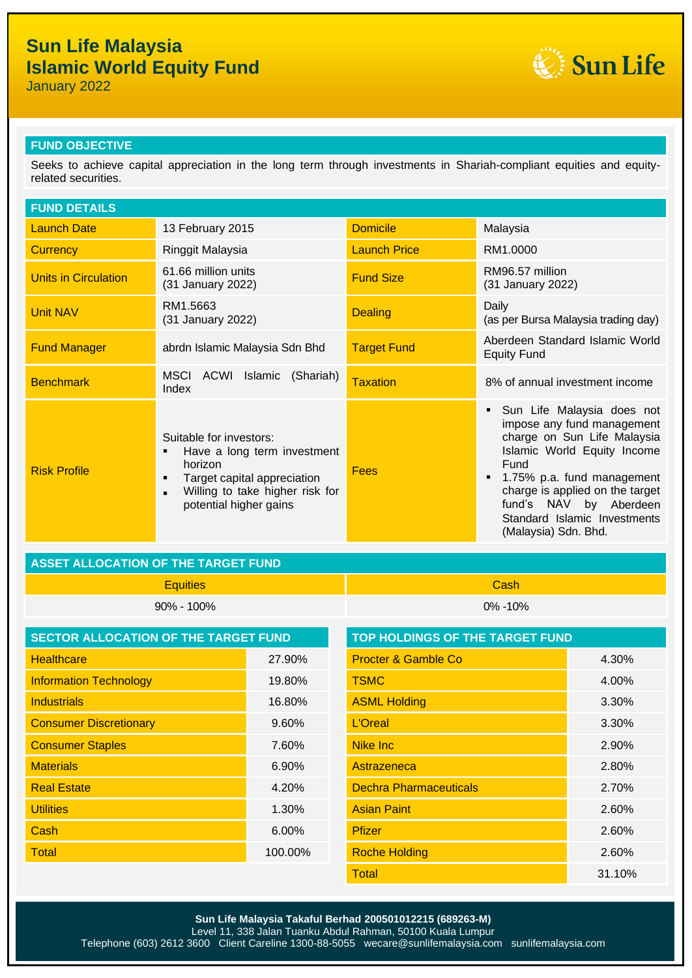## **Sun Life Malaysia Islamic World Equity Fund**

January 2022



## **FUND OBJECTIVE**

Seeks to achieve capital appreciation in the long term through investments in Shariah-compliant equities and equityrelated securities.

| <b>FUND DETAILS</b>         |                                                                                                                                                                                           |                     |                                                                                                                                                                                                                                                                                   |
|-----------------------------|-------------------------------------------------------------------------------------------------------------------------------------------------------------------------------------------|---------------------|-----------------------------------------------------------------------------------------------------------------------------------------------------------------------------------------------------------------------------------------------------------------------------------|
| <b>Launch Date</b>          | 13 February 2015                                                                                                                                                                          | <b>Domicile</b>     | Malaysia                                                                                                                                                                                                                                                                          |
| <b>Currency</b>             | Ringgit Malaysia                                                                                                                                                                          | <b>Launch Price</b> | RM1.0000                                                                                                                                                                                                                                                                          |
| <b>Units in Circulation</b> | 61.66 million units<br>(31 January 2022)                                                                                                                                                  | <b>Fund Size</b>    | RM96.57 million<br>(31 January 2022)                                                                                                                                                                                                                                              |
| <b>Unit NAV</b>             | RM1.5663<br>(31 January 2022)                                                                                                                                                             | <b>Dealing</b>      | Daily<br>(as per Bursa Malaysia trading day)                                                                                                                                                                                                                                      |
| <b>Fund Manager</b>         | abrdn Islamic Malaysia Sdn Bhd                                                                                                                                                            | <b>Target Fund</b>  | Aberdeen Standard Islamic World<br><b>Equity Fund</b>                                                                                                                                                                                                                             |
| <b>Benchmark</b>            | MSCI<br>ACWI<br>Islamic<br>(Shariah)<br>Index                                                                                                                                             | Taxation            | 8% of annual investment income                                                                                                                                                                                                                                                    |
| <b>Risk Profile</b>         | Suitable for investors:<br>Have a long term investment<br>٠<br>horizon<br>Target capital appreciation<br>٠<br>Willing to take higher risk for<br>$\blacksquare$<br>potential higher gains | Fees                | Sun Life Malaysia does not<br>impose any fund management<br>charge on Sun Life Malaysia<br>Islamic World Equity Income<br>Fund<br>1.75% p.a. fund management<br>charge is applied on the target<br>fund's NAV by Aberdeen<br>Standard Islamic Investments<br>(Malaysia) Sdn. Bhd. |

## **ASSET ALLOCATION OF THE TARGET FUND**

Equities Cash 90% - 100% 0% -10%

| <b>SECTOR ALLOCATION OF THE TARGET FUND</b> |         | <b>TOP HOLDINGS OF THE TARGET FUND</b> |        |
|---------------------------------------------|---------|----------------------------------------|--------|
| <b>Healthcare</b>                           | 27.90%  | <b>Procter &amp; Gamble Co</b>         | 4.30%  |
| <b>Information Technology</b>               | 19.80%  | <b>TSMC</b>                            | 4.00%  |
| <b>Industrials</b>                          | 16.80%  | <b>ASML Holding</b>                    | 3.30%  |
| <b>Consumer Discretionary</b>               | 9.60%   | L'Oreal                                | 3.30%  |
| <b>Consumer Staples</b>                     | 7.60%   | <b>Nike Inc</b>                        | 2.90%  |
| <b>Materials</b>                            | 6.90%   | Astrazeneca                            | 2.80%  |
| <b>Real Estate</b>                          | 4.20%   | <b>Dechra Pharmaceuticals</b>          | 2.70%  |
| <b>Utilities</b>                            | 1.30%   | <b>Asian Paint</b>                     | 2.60%  |
| Cash                                        | 6.00%   | <b>Pfizer</b>                          | 2.60%  |
| Total                                       | 100.00% | <b>Roche Holding</b>                   | 2.60%  |
|                                             |         | <b>Total</b>                           | 31.10% |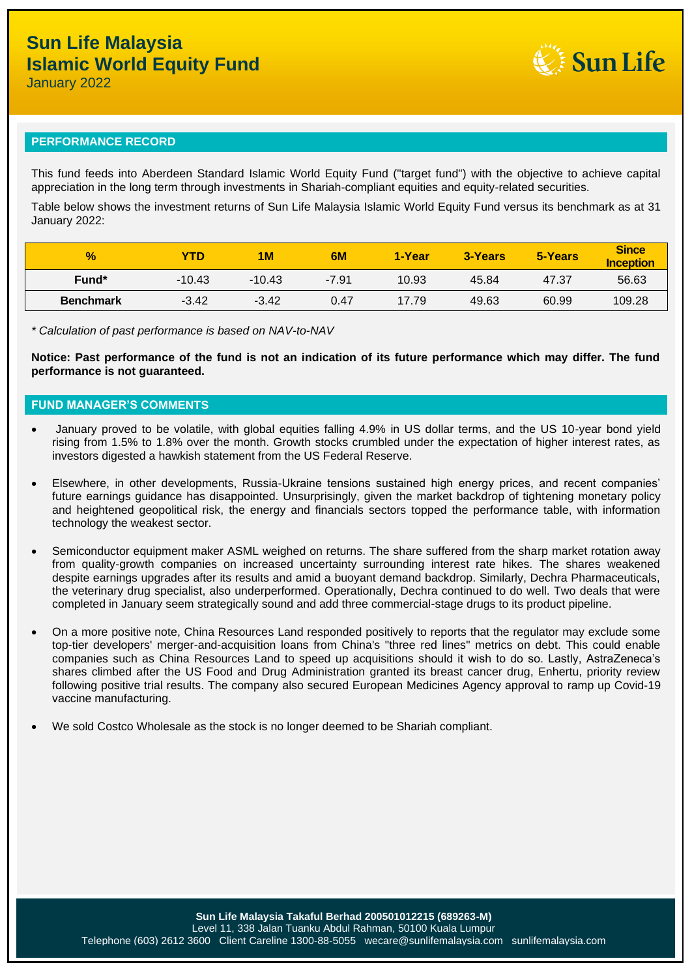**Sun Life** 

January 2022

#### **PERFORMANCE RECORD**

This fund feeds into Aberdeen Standard Islamic World Equity Fund ("target fund") with the objective to achieve capital appreciation in the long term through investments in Shariah-compliant equities and equity-related securities.

Table below shows the investment returns of Sun Life Malaysia Islamic World Equity Fund versus its benchmark as at 31 January 2022:

| $\frac{1}{2}$     | <b>TD</b> | 1M       | 6M      | 1-Year | 3-Years | 5-Years | <b>Since</b><br><b>Inception</b> |
|-------------------|-----------|----------|---------|--------|---------|---------|----------------------------------|
| Fund <sup>*</sup> | $-10.43$  | $-10.43$ | $-7.91$ | 10.93  | 45.84   | 47.37   | 56.63                            |
| <b>Benchmark</b>  | $-3.42$   | $-3.42$  | 0.47    | 17.79  | 49.63   | 60.99   | 109.28                           |

*\* Calculation of past performance is based on NAV-to-NAV*

**Notice: Past performance of the fund is not an indication of its future performance which may differ. The fund performance is not guaranteed.**

#### **FUND MANAGER'S COMMENTS**

- January proved to be volatile, with global equities falling 4.9% in US dollar terms, and the US 10-year bond yield rising from 1.5% to 1.8% over the month. Growth stocks crumbled under the expectation of higher interest rates, as investors digested a hawkish statement from the US Federal Reserve.
- Elsewhere, in other developments, Russia-Ukraine tensions sustained high energy prices, and recent companies' future earnings guidance has disappointed. Unsurprisingly, given the market backdrop of tightening monetary policy and heightened geopolitical risk, the energy and financials sectors topped the performance table, with information technology the weakest sector.
- Semiconductor equipment maker ASML weighed on returns. The share suffered from the sharp market rotation away from quality-growth companies on increased uncertainty surrounding interest rate hikes. The shares weakened despite earnings upgrades after its results and amid a buoyant demand backdrop. Similarly, Dechra Pharmaceuticals, the veterinary drug specialist, also underperformed. Operationally, Dechra continued to do well. Two deals that were completed in January seem strategically sound and add three commercial-stage drugs to its product pipeline.
- On a more positive note, China Resources Land responded positively to reports that the regulator may exclude some top-tier developers' merger-and-acquisition loans from China's "three red lines" metrics on debt. This could enable companies such as China Resources Land to speed up acquisitions should it wish to do so. Lastly, AstraZeneca's shares climbed after the US Food and Drug Administration granted its breast cancer drug, Enhertu, priority review following positive trial results. The company also secured European Medicines Agency approval to ramp up Covid-19 vaccine manufacturing.
- We sold Costco Wholesale as the stock is no longer deemed to be Shariah compliant.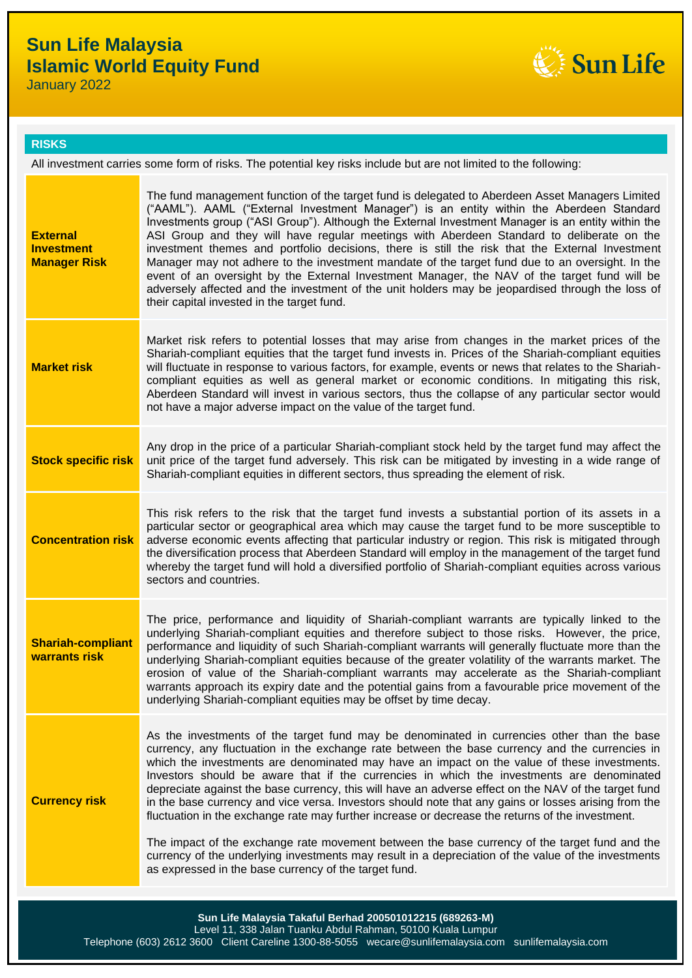# **Sun Life Malaysia Islamic World Equity Fund**

January 2022



### **RISKS**

All investment carries some form of risks. The potential key risks include but are not limited to the following:

| <b>External</b><br><b>Investment</b>      | The fund management function of the target fund is delegated to Aberdeen Asset Managers Limited<br>("AAML"). AAML ("External Investment Manager") is an entity within the Aberdeen Standard<br>Investments group ("ASI Group"). Although the External Investment Manager is an entity within the<br>ASI Group and they will have regular meetings with Aberdeen Standard to deliberate on the<br>investment themes and portfolio decisions, there is still the risk that the External Investment                                                                                                                                                                                                             |
|-------------------------------------------|--------------------------------------------------------------------------------------------------------------------------------------------------------------------------------------------------------------------------------------------------------------------------------------------------------------------------------------------------------------------------------------------------------------------------------------------------------------------------------------------------------------------------------------------------------------------------------------------------------------------------------------------------------------------------------------------------------------|
| <b>Manager Risk</b>                       | Manager may not adhere to the investment mandate of the target fund due to an oversight. In the<br>event of an oversight by the External Investment Manager, the NAV of the target fund will be<br>adversely affected and the investment of the unit holders may be jeopardised through the loss of<br>their capital invested in the target fund.                                                                                                                                                                                                                                                                                                                                                            |
| <b>Market risk</b>                        | Market risk refers to potential losses that may arise from changes in the market prices of the<br>Shariah-compliant equities that the target fund invests in. Prices of the Shariah-compliant equities<br>will fluctuate in response to various factors, for example, events or news that relates to the Shariah-<br>compliant equities as well as general market or economic conditions. In mitigating this risk,<br>Aberdeen Standard will invest in various sectors, thus the collapse of any particular sector would<br>not have a major adverse impact on the value of the target fund.                                                                                                                 |
| <b>Stock specific risk</b>                | Any drop in the price of a particular Shariah-compliant stock held by the target fund may affect the<br>unit price of the target fund adversely. This risk can be mitigated by investing in a wide range of<br>Shariah-compliant equities in different sectors, thus spreading the element of risk.                                                                                                                                                                                                                                                                                                                                                                                                          |
| <b>Concentration risk</b>                 | This risk refers to the risk that the target fund invests a substantial portion of its assets in a<br>particular sector or geographical area which may cause the target fund to be more susceptible to<br>adverse economic events affecting that particular industry or region. This risk is mitigated through<br>the diversification process that Aberdeen Standard will employ in the management of the target fund<br>whereby the target fund will hold a diversified portfolio of Shariah-compliant equities across various<br>sectors and countries.                                                                                                                                                    |
| <b>Shariah-compliant</b><br>warrants risk | The price, performance and liquidity of Shariah-compliant warrants are typically linked to the<br>underlying Shariah-compliant equities and therefore subject to those risks. However, the price,<br>performance and liquidity of such Shariah-compliant warrants will generally fluctuate more than the<br>underlying Shariah-compliant equities because of the greater volatility of the warrants market. The<br>erosion of value of the Shariah-compliant warrants may accelerate as the Shariah-compliant<br>warrants approach its expiry date and the potential gains from a favourable price movement of the<br>underlying Shariah-compliant equities may be offset by time decay.                     |
| <b>Currency risk</b>                      | As the investments of the target fund may be denominated in currencies other than the base<br>currency, any fluctuation in the exchange rate between the base currency and the currencies in<br>which the investments are denominated may have an impact on the value of these investments.<br>Investors should be aware that if the currencies in which the investments are denominated<br>depreciate against the base currency, this will have an adverse effect on the NAV of the target fund<br>in the base currency and vice versa. Investors should note that any gains or losses arising from the<br>fluctuation in the exchange rate may further increase or decrease the returns of the investment. |
|                                           | The impact of the exchange rate movement between the base currency of the target fund and the<br>currency of the underlying investments may result in a depreciation of the value of the investments<br>as expressed in the base currency of the target fund.                                                                                                                                                                                                                                                                                                                                                                                                                                                |
|                                           | Sun Life Malaysia Takaful Berhad 200501012215 (689263-M)                                                                                                                                                                                                                                                                                                                                                                                                                                                                                                                                                                                                                                                     |